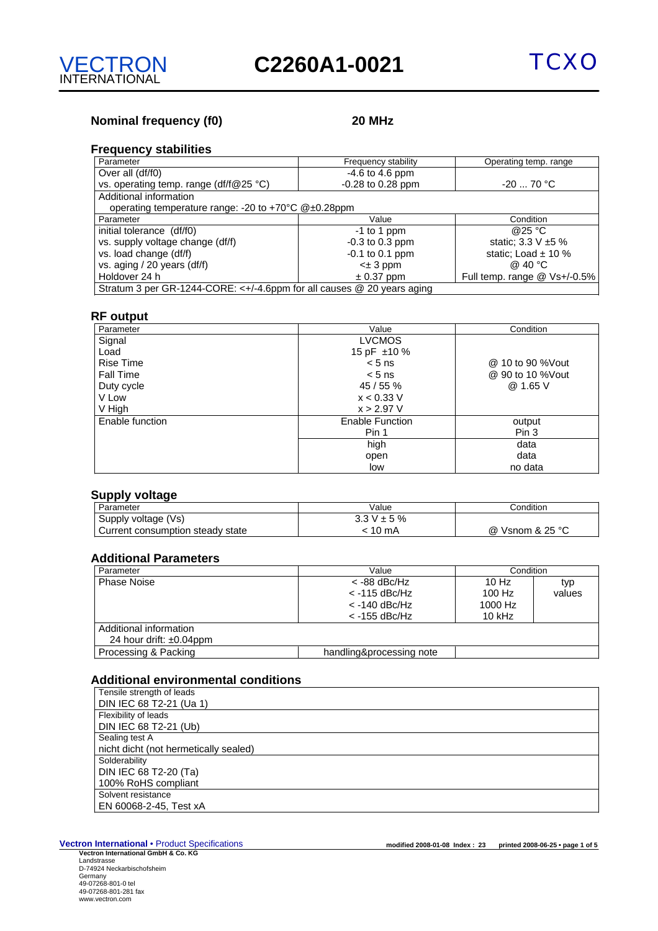# **Nominal frequency (f0) 20 MHz**

## **Frequency stabilities**

| Parameter                                                                     | Frequency stability<br>Operating temp. range |                                  |  |  |
|-------------------------------------------------------------------------------|----------------------------------------------|----------------------------------|--|--|
| Over all (df/f0)                                                              | $-4.6$ to $4.6$ ppm                          |                                  |  |  |
| vs. operating temp. range (df/f $@25$ °C)                                     | $-0.28$ to 0.28 ppm<br>$-2070 °C$            |                                  |  |  |
| Additional information                                                        |                                              |                                  |  |  |
| operating temperature range: -20 to +70 $\degree$ C $\textcircled{2+0.28ppm}$ |                                              |                                  |  |  |
| Parameter                                                                     | Value                                        | Condition                        |  |  |
| initial tolerance (df/f0)                                                     | $-1$ to 1 ppm                                | @25 °C                           |  |  |
| vs. supply voltage change (df/f)                                              | $-0.3$ to 0.3 ppm                            | static: $3.3 \text{ V} \pm 5 \%$ |  |  |
| vs. load change (df/f)                                                        | $-0.1$ to 0.1 ppm                            | static: Load $\pm$ 10 %          |  |  |
| vs. aging / 20 years (df/f)                                                   | $\leq \pm 3$ ppm                             | @ 40 °C                          |  |  |
| Holdover 24 h<br>Full temp. range @ Vs+/-0.5%<br>$\pm$ 0.37 ppm               |                                              |                                  |  |  |
| Stratum 3 per GR-1244-CORE: $\lt +$ /-4.6ppm for all causes @ 20 years aging  |                                              |                                  |  |  |

#### **RF output**

| Parameter        | Value                  | Condition         |  |
|------------------|------------------------|-------------------|--|
| Signal           | <b>LVCMOS</b>          |                   |  |
| Load             | 15 pF ±10 %            |                   |  |
| <b>Rise Time</b> | $< 5$ ns               | @ 10 to 90 % Vout |  |
| <b>Fall Time</b> | $< 5$ ns               | @ 90 to 10 % Vout |  |
| Duty cycle       | 45 / 55 %              | @ 1.65 V          |  |
| V Low            | $x < 0.33$ V           |                   |  |
| V High           | x > 2.97 V             |                   |  |
| Enable function  | <b>Enable Function</b> | output            |  |
|                  | Pin 1                  | Pin 3             |  |
|                  | high                   | data              |  |
|                  | open                   | data              |  |
|                  | low                    | no data           |  |

## **Supply voltage**

| Parameter                        | Value            | Condition       |
|----------------------------------|------------------|-----------------|
| Supply voltage (Vs)              | $3.3 V \pm 5 \%$ |                 |
| Current consumption steady state | 10 mA            | @ Vsnom & 25 °C |

#### **Additional Parameters**

| Parameter                     | Value<br>Condition       |                   |        |
|-------------------------------|--------------------------|-------------------|--------|
| Phase Noise                   | $<$ -88 dBc/Hz           | 10 H <sub>z</sub> | typ    |
|                               | $<$ -115 dBc/Hz          | $100$ Hz          | values |
|                               | $<$ -140 dBc/Hz          | 1000 Hz           |        |
|                               | $<$ -155 dBc/Hz          | $10$ kHz          |        |
| Additional information        |                          |                   |        |
| 24 hour drift: $\pm 0.04$ ppm |                          |                   |        |
| Processing & Packing          | handling&processing note |                   |        |

#### **Additional environmental conditions**

| Tensile strength of leads             |
|---------------------------------------|
| DIN IEC 68 T2-21 (Ua 1)               |
| Flexibility of leads                  |
| DIN IEC 68 T2-21 (Ub)                 |
| Sealing test A                        |
| nicht dicht (not hermetically sealed) |
| Solderability                         |
| DIN IEC 68 T2-20 (Ta)                 |
| 100% RoHS compliant                   |
| Solvent resistance                    |
| EN 60068-2-45, Test xA                |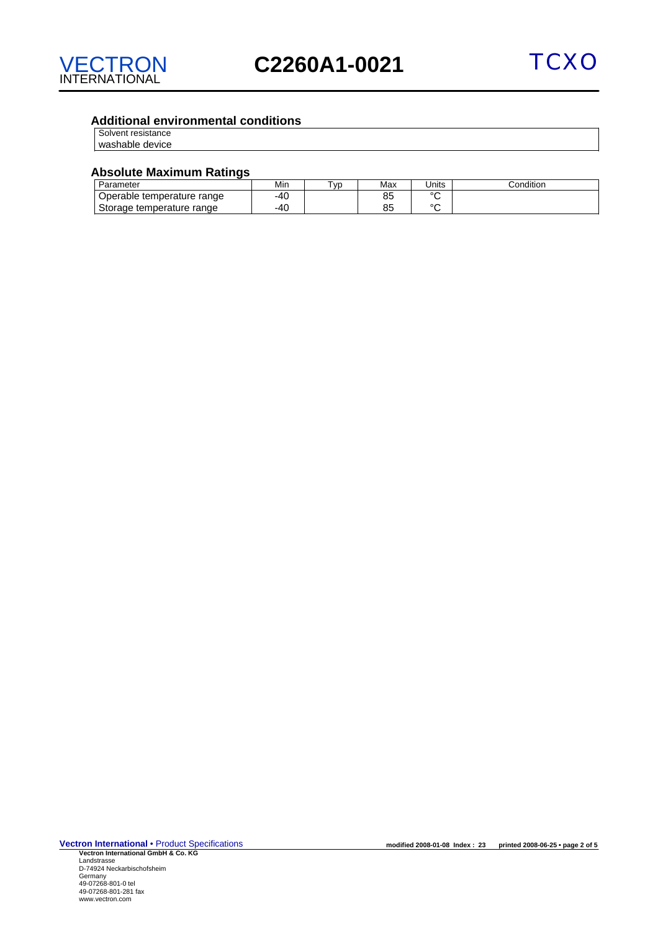

### **Additional environmental conditions**

Solvent resistance washable device

### **Absolute Maximum Ratings**

| Parameter                  | Min | Tvp | Max     | Units  | :cndition |
|----------------------------|-----|-----|---------|--------|-----------|
| Operable temperature range | -40 |     | 85      | $\sim$ |           |
| Storage temperature range  | -40 |     | ᅂ<br>oσ | $\sim$ |           |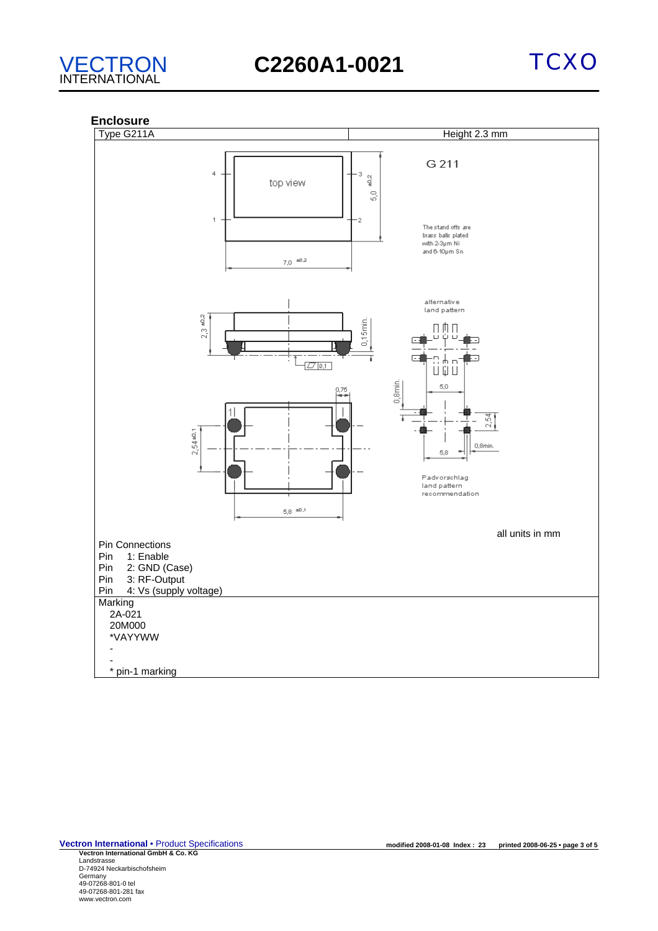



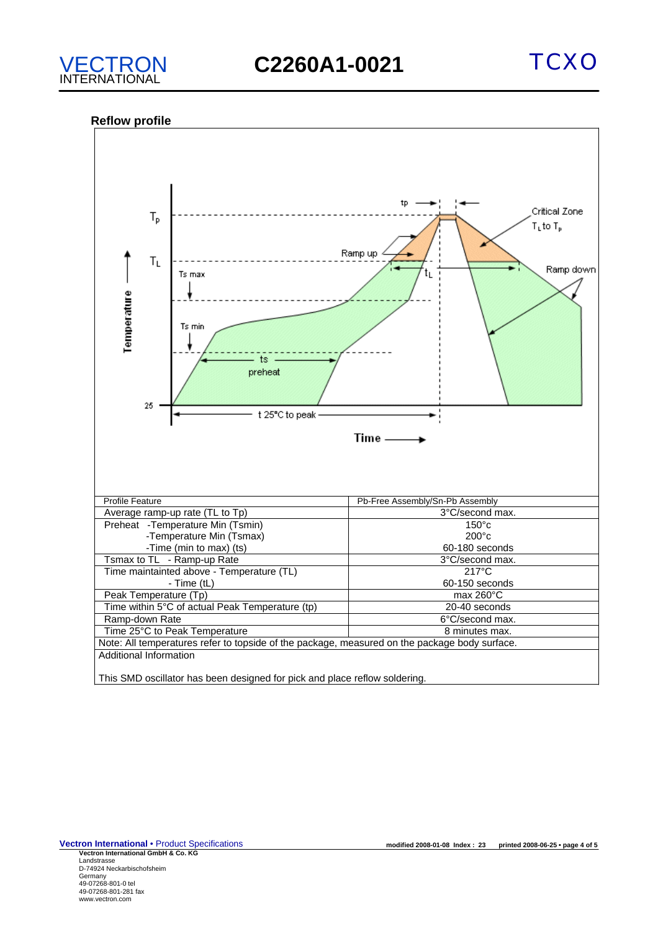